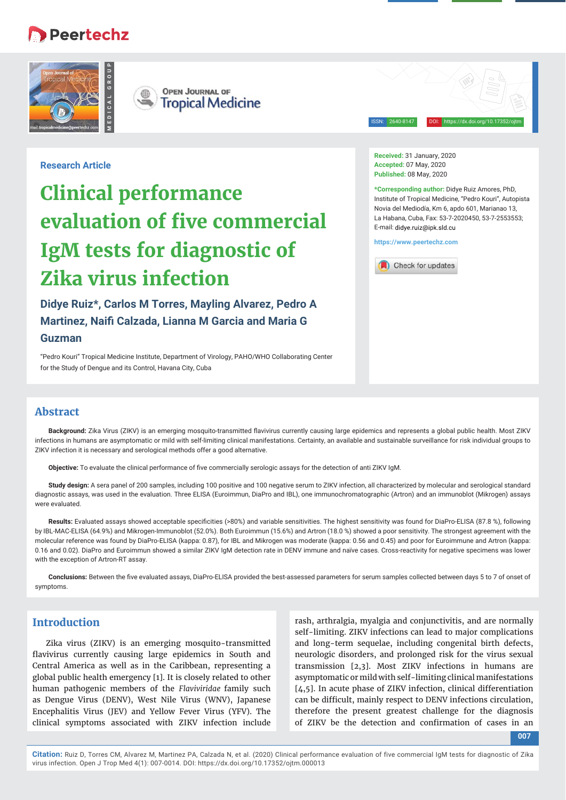# **B** Peertechz





ISSN: 2640-8147 DOI: https://dx.doi.org/10.17352/ojtm

# **Research Article**

# **Clinical performance evaluation of five commercial IgM tests for diagnostic of Zika virus infection**

**Didye Ruiz\*, Carlos M Torres, Mayling Alvarez, Pedro A Martinez, Naifi Calzada, Lianna M Garcia and Maria G** 

# **Guzman**

"Pedro Kouri" Tropical Medicine Institute, Department of Virology, PAHO/WHO Collaborating Center for the Study of Dengue and its Control, Havana City, Cuba

**Received:** 31 January, 2020 **Accepted:** 07 May, 2020 **Published:** 08 May, 2020

**\*Corresponding author:** Didye Ruiz Amores, PhD, Institute of Tropical Medicine, "Pedro Kouri", Autopista Novia del Mediodía, Km 6, apdo 601, Marianao 13, La Habana, Cuba, Fax: 53-7-2020450, 53-7-2553553; E-mail: didve ruiz@ink sld cu

**https://www.peertechz.com**



# **Abstract**

Background: Zika Virus (ZIKV) is an emerging mosquito-transmitted flavivirus currently causing large epidemics and represents a global public health. Most ZIKV infections in humans are asymptomatic or mild with self-limiting clinical manifestations. Certainty, an available and sustainable surveillance for risk individual groups to ZIKV infection it is necessary and serological methods offer a good alternative.

Objective: To evaluate the clinical performance of five commercially serologic assays for the detection of anti ZIKV IgM.

**Study design:** A sera panel of 200 samples, including 100 positive and 100 negative serum to ZIKV infection, all characterized by molecular and serological standard diagnostic assays, was used in the evaluation. Three ELISA (Euroimmun, DiaPro and IBL), one immunochromatographic (Artron) and an immunoblot (Mikrogen) assays were evaluated.

Results: Evaluated assays showed acceptable specificities (>80%) and variable sensitivities. The highest sensitivity was found for DiaPro-ELISA (87.8 %), following by IBL-MAC-ELISA (64.9%) and Mikrogen-Immunoblot (52.0%). Both Euroimmun (15.6%) and Artron (18.0 %) showed a poor sensitivity. The strongest agreement with the molecular reference was found by DiaPro-ELISA (kappa: 0.87), for IBL and Mikrogen was moderate (kappa: 0.56 and 0.45) and poor for Euroimmune and Artron (kappa: 0.16 and 0.02). DiaPro and Euroimmun showed a similar ZIKV IgM detection rate in DENV immune and naïve cases. Cross-reactivity for negative specimens was lower with the exception of Artron-RT assay.

Conclusions: Between the five evaluated assays, DiaPro-ELISA provided the best-assessed parameters for serum samples collected between days 5 to 7 of onset of symptoms.

# **Introduction**

Zika virus (ZIKV) is an emerging mosquito-transmitted flavivirus currently causing large epidemics in South and Central America as well as in the Caribbean, representing a global public health emergency [1]. It is closely related to other human pathogenic members of the *Flaviviridae* family such as Dengue Virus (DENV), West Nile Virus (WNV), Japanese Encephalitis Virus (JEV) and Yellow Fever Virus (YFV). The clinical symptoms associated with ZIKV infection include

rash, arthralgia, myalgia and conjunctivitis, and are normally self-limiting. ZIKV infections can lead to major complications and long-term sequelae, including congenital birth defects, neurologic disorders, and prolonged risk for the virus sexual transmission [2,3]. Most ZIKV infections in humans are asymptomatic or mild with self-limiting clinical manifestations [4,5]. In acute phase of ZIKV infection, clinical differentiation can be difficult, mainly respect to DENV infections circulation, therefore the present greatest challenge for the diagnosis of ZIKV be the detection and confirmation of cases in an

**007**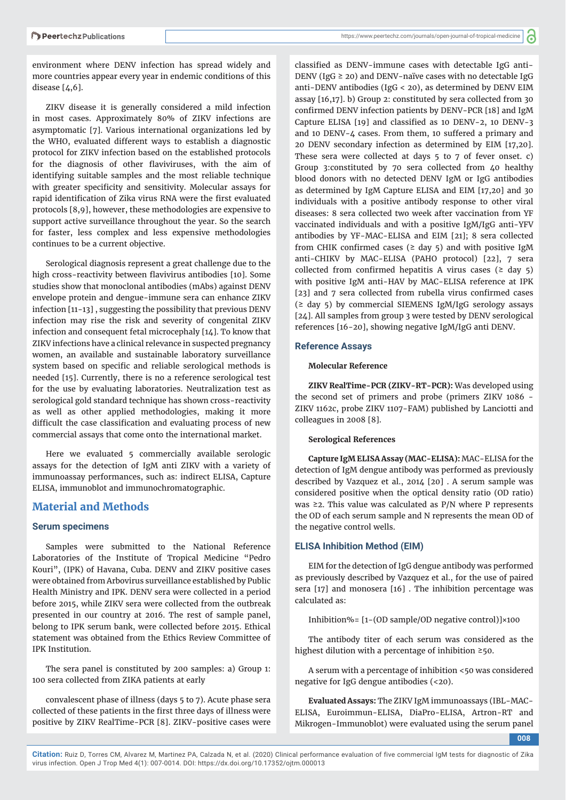environment where DENV infection has spread widely and more countries appear every year in endemic conditions of this disease [4,6].

ZIKV disease it is generally considered a mild infection in most cases. Approximately 80% of ZIKV infections are asymptomatic [7]. Various international organizations led by the WHO, evaluated different ways to establish a diagnostic protocol for ZIKV infection based on the established protocols for the diagnosis of other flaviviruses, with the aim of identifying suitable samples and the most reliable technique with greater specificity and sensitivity. Molecular assays for rapid identification of Zika virus RNA were the first evaluated protocols [8,9], however, these methodologies are expensive to support active surveillance throughout the year. So the search for faster, less complex and less expensive methodologies continues to be a current objective.

Serological diagnosis represent a great challenge due to the high cross-reactivity between flavivirus antibodies [10]. Some studies show that monoclonal antibodies (mAbs) against DENV envelope protein and dengue-immune sera can enhance ZIKV infection [11-13] , suggesting the possibility that previous DENV infection may rise the risk and severity of congenital ZIKV infection and consequent fetal microcephaly [14]. To know that ZIKV infections have a clinical relevance in suspected pregnancy women, an available and sustainable laboratory surveillance system based on specific and reliable serological methods is needed [15]. Currently, there is no a reference serological test for the use by evaluating laboratories. Neutralization test as serological gold standard technique has shown cross-reactivity as well as other applied methodologies, making it more difficult the case classification and evaluating process of new commercial assays that come onto the international market.

Here we evaluated 5 commercially available serologic assays for the detection of IgM anti ZIKV with a variety of immunoassay performances, such as: indirect ELISA, Capture ELISA, immunoblot and immunochromatographic.

# **Material and Methods**

#### **Serum specimens**

Samples were submitted to the National Reference Laboratories of the Institute of Tropical Medicine "Pedro Kouri", (IPK) of Havana, Cuba. DENV and ZIKV positive cases were obtained from Arbovirus surveillance established by Public Health Ministry and IPK. DENV sera were collected in a period before 2015, while ZIKV sera were collected from the outbreak presented in our country at 2016. The rest of sample panel, belong to IPK serum bank, were collected before 2015. Ethical statement was obtained from the Ethics Review Committee of IPK Institution.

The sera panel is constituted by 200 samples: a) Group 1: 100 sera collected from ZIKA patients at early

convalescent phase of illness (days 5 to 7). Acute phase sera collected of these patients in the first three days of illness were positive by ZIKV RealTime-PCR [8]. ZIKV-positive cases were

classified as DENV-immune cases with detectable IgG anti-DENV (IgG  $\geq$  20) and DENV-naïve cases with no detectable IgG anti-DENV antibodies (IgG < 20), as determined by DENV EIM assay [16,17]. b) Group 2: constituted by sera collected from 30 confirmed DENV infection patients by DENV-PCR [18] and IgM Capture ELISA  $[19]$  and classified as 10 DENV-2, 10 DENV-3 and 10 DENV-4 cases. From them, 10 suffered a primary and 20 DENV secondary infection as determined by EIM [17,20]. These sera were collected at days 5 to 7 of fever onset. c) Group 3:constituted by 70 sera collected from 40 healthy blood donors with no detected DENV IgM or IgG antibodies as determined by IgM Capture ELISA and EIM [17,20] and 30 individuals with a positive antibody response to other viral diseases: 8 sera collected two week after vaccination from YF vaccinated individuals and with a positive IgM/IgG anti-YFV antibodies by YF-MAC-ELISA and EIM [21]; 8 sera collected from CHIK confirmed cases ( $\geq$  day 5) and with positive IgM anti-CHIKV by MAC-ELISA (PAHO protocol) [22], 7 sera collected from confirmed hepatitis A virus cases ( $\geq$  day 5) with positive IgM anti-HAV by MAC-ELISA reference at IPK [23] and 7 sera collected from rubella virus confirmed cases (≥ day 5) by commercial SIEMENS IgM/IgG serology assays [24]. All samples from group 3 were tested by DENV serological references [16-20], showing negative IgM/IgG anti DENV.

#### **Reference Assays**

#### **Molecular Reference**

**ZIKV RealTime-PCR (ZIKV-RT-PCR):** Was developed using the second set of primers and probe (primers ZIKV 1086 - ZIKV 1162c, probe ZIKV 1107-FAM) published by Lanciotti and colleagues in 2008 [8].

#### **Serological References**

**Capture IgM ELISA Assay (MAC-ELISA):** MAC-ELISA for the detection of IgM dengue antibody was performed as previously described by Vazquez et al., 2014 [20] . A serum sample was considered positive when the optical density ratio (OD ratio) was ≥2. This value was calculated as P/N where P represents the OD of each serum sample and N represents the mean OD of the negative control wells.

#### **ELISA Inhibition Method (EIM)**

EIM for the detection of IgG dengue antibody was performed as previously described by Vazquez et al., for the use of paired sera [17] and monosera [16] . The inhibition percentage was calculated as:

Inhibition%= [1−(OD sample/OD negative control)]×100

The antibody titer of each serum was considered as the highest dilution with a percentage of inhibition ≥50.

A serum with a percentage of inhibition <50 was considered negative for IgG dengue antibodies (<20).

**Evaluated Assays:** The ZIKV IgM immunoassays (IBL-MAC-ELISA, Euroimmun-ELISA, DiaPro-ELISA, Artron-RT and Mikrogen-Immunoblot) were evaluated using the serum panel

**008**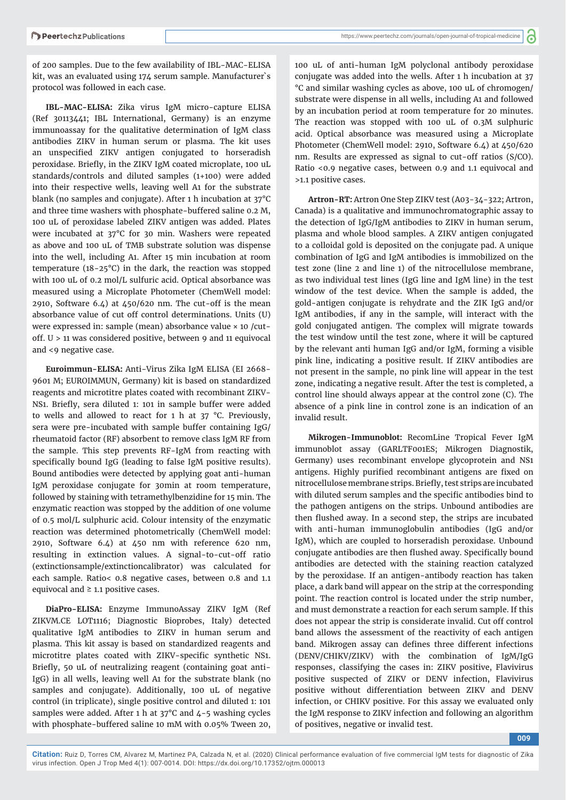of 200 samples. Due to the few availability of IBL-MAC-ELISA kit, was an evaluated using 174 serum sample. Manufacturer`s protocol was followed in each case.

**IBL-MAC-ELISA:** Zika virus IgM micro-capture ELISA (Ref 30113441; IBL International, Germany) is an enzyme immunoassay for the qualitative determination of IgM class antibodies ZIKV in human serum or plasma. The kit uses an unspecified ZIKV antigen conjugated to horseradish peroxidase. Briefly, in the ZIKV IgM coated microplate, 100 uL standards/controls and diluted samples (1+100) were added into their respective wells, leaving well A1 for the substrate blank (no samples and conjugate). After 1 h incubation at 37°C and three time washers with phosphate-buffered saline 0.2 M, 100 uL of peroxidase labeled ZIKV antigen was added. Plates were incubated at 37°C for 30 min. Washers were repeated as above and 100 uL of TMB substrate solution was dispense into the well, including A1. After 15 min incubation at room temperature (18-25°C) in the dark, the reaction was stopped with 100 uL of 0.2 mol/L sulfuric acid. Optical absorbance was measured using a Microplate Photometer (ChemWell model: 2910, Software 6.4) at 450/620 nm. The cut-off is the mean absorbance value of cut off control determinations. Units (U) were expressed in: sample (mean) absorbance value × 10 /cutoff. U > 11 was considered positive, between 9 and 11 equivocal and <9 negative case.

**Euroimmun-ELISA:** Anti-Virus Zika IgM ELISA (EI 2668- 9601 M; EUROIMMUN, Germany) kit is based on standardized reagents and microtitre plates coated with recombinant ZIKV-NS1. Briefly, sera diluted 1: 101 in sample buffer were added to wells and allowed to react for 1 h at  $37$  °C. Previously, sera were pre-incubated with sample buffer containing IgG/ rheumatoid factor (RF) absorbent to remove class IgM RF from the sample. This step prevents RF-IgM from reacting with specifically bound IgG (leading to false IgM positive results). Bound antibodies were detected by applying goat anti-human IgM peroxidase conjugate for 30min at room temperature, followed by staining with tetramethylbenzidine for 15 min. The enzymatic reaction was stopped by the addition of one volume of 0.5 mol/L sulphuric acid. Colour intensity of the enzymatic reaction was determined photometrically (ChemWell model: 2910, Software 6.4) at 450 nm with reference 620 nm, resulting in extinction values. A signal-to-cut-off ratio (extinctionsample/extinctioncalibrator) was calculated for each sample. Ratio< 0.8 negative cases, between 0.8 and 1.1 equivocal and  $\geq$  1.1 positive cases.

**DiaPro-ELISA:** Enzyme ImmunoAssay ZIKV IgM (Ref ZIKVM.CE LOT1116; Diagnostic Bioprobes, Italy) detected qualitative IgM antibodies to ZIKV in human serum and plasma. This kit assay is based on standardized reagents and microtitre plates coated with ZIKV-specific synthetic NS1. Briefly, 50 uL of neutralizing reagent (containing goat anti-IgG) in all wells, leaving well A1 for the substrate blank (no samples and conjugate). Additionally, 100 uL of negative control (in triplicate), single positive control and diluted 1: 101 samples were added. After 1 h at 37°C and 4-5 washing cycles with phosphate-buffered saline 10 mM with 0.05% Tween 20,

100 uL of anti-human IgM polyclonal antibody peroxidase conjugate was added into the wells. After 1 h incubation at 37 °C and similar washing cycles as above, 100 uL of chromogen/ substrate were dispense in all wells, including A1 and followed by an incubation period at room temperature for 20 minutes. The reaction was stopped with 100 uL of 0.3M sulphuric acid. Optical absorbance was measured using a Microplate Photometer (ChemWell model: 2910, Software 6.4) at 450/620 nm. Results are expressed as signal to cut-off ratios (S/CO). Ratio <0.9 negative cases, between 0.9 and 1.1 equivocal and >1.1 positive cases.

**Artron-RT:** Artron One Step ZIKV test (A03-34-322; Artron, Canada) is a qualitative and immunochromatographic assay to the detection of IgG/IgM antibodies to ZIKV in human serum, plasma and whole blood samples. A ZIKV antigen conjugated to a colloidal gold is deposited on the conjugate pad. A unique combination of IgG and IgM antibodies is immobilized on the test zone (line 2 and line 1) of the nitrocellulose membrane, as two individual test lines (IgG line and IgM line) in the test window of the test device. When the sample is added, the gold-antigen conjugate is rehydrate and the ZIK IgG and/or IgM antibodies, if any in the sample, will interact with the gold conjugated antigen. The complex will migrate towards the test window until the test zone, where it will be captured by the relevant anti human IgG and/or IgM, forming a visible pink line, indicating a positive result. If ZIKV antibodies are not present in the sample, no pink line will appear in the test zone, indicating a negative result. After the test is completed, a control line should always appear at the control zone (C). The absence of a pink line in control zone is an indication of an invalid result.

**Mikrogen-Immunoblot:** RecomLine Tropical Fever IgM immunoblot assay (GARLTF001ES; Mikrogen Diagnostik, Germany) uses recombinant envelope glycoprotein and NS1 antigens. Highly purified recombinant antigens are fixed on nitrocellulose membrane strips. Briefly, test strips are incubated with diluted serum samples and the specific antibodies bind to the pathogen antigens on the strips. Unbound antibodies are then flushed away. In a second step, the strips are incubated with anti-human immunoglobulin antibodies (IgG and/or IgM), which are coupled to horseradish peroxidase. Unbound conjugate antibodies are then flushed away. Specifically bound antibodies are detected with the staining reaction catalyzed by the peroxidase. If an antigen-antibody reaction has taken place, a dark band will appear on the strip at the corresponding point. The reaction control is located under the strip number, and must demonstrate a reaction for each serum sample. If this does not appear the strip is considerate invalid. Cut off control band allows the assessment of the reactivity of each antigen band. Mikrogen assay can defines three different infections (DENV/CHIKV/ZIKV) with the combination of IgM/IgG responses, classifying the cases in: ZIKV positive, Flavivirus positive suspected of ZIKV or DENV infection, Flavivirus positive without differentiation between ZIKV and DENV infection, or CHIKV positive. For this assay we evaluated only the IgM response to ZIKV infection and following an algorithm of positives, negative or invalid test.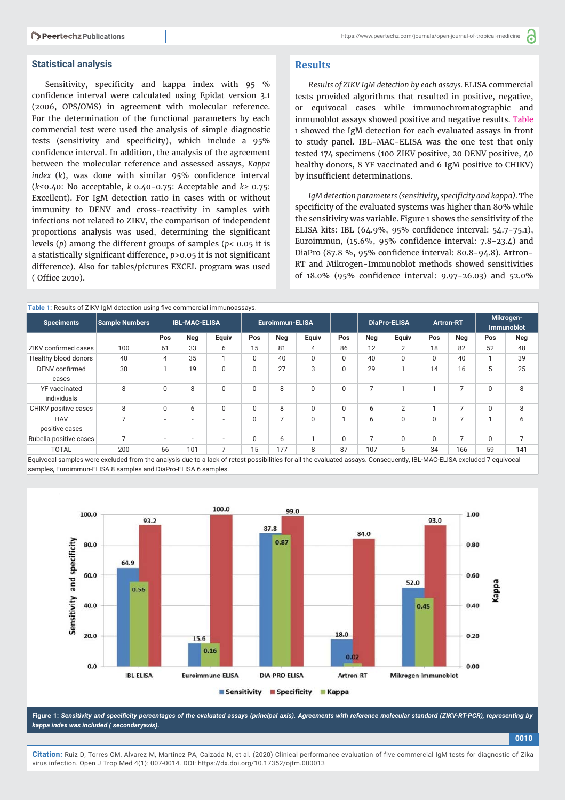#### **Statistical analysis**

Sensitivity, specificity and kappa index with 95 % confidence interval were calculated using Epidat version 3.1 (2006, OPS/OMS) in agreement with molecular reference. For the determination of the functional parameters by each commercial test were used the analysis of simple diagnostic tests (sensitivity and specificity), which include a 95% confidence interval. In addition, the analysis of the agreement between the molecular reference and assessed assays, *Kappa index* (*k*), was done with similar 95% confidence interval (*k<*0.40: No acceptable, *k* 0.40-0.75: Acceptable and *k≥* 0.75: Excellent). For IgM detection ratio in cases with or without immunity to DENV and cross-reactivity in samples with infections not related to ZIKV, the comparison of independent proportions analysis was used, determining the significant levels (*p*) among the different groups of samples (*p*< 0.05 it is a statistically significant difference,  $p > 0.05$  it is not significant difference). Also for tables/pictures EXCEL program was used ( Office 2010).

#### **Results**

*Results of ZIKV IgM detection by each assays.* ELISA commercial tests provided algorithms that resulted in positive, negative, or equivocal cases while immunochromatographic and inmunoblot assays showed positive and negative results. Table 1 showed the IgM detection for each evaluated assays in front to study panel. IBL-MAC-ELISA was the one test that only tested 174 specimens (100 ZIKV positive, 20 DENV positive, 40 healthy donors, 8 YF vaccinated and 6 IgM positive to CHIKV) by insufficient determinations.

IqM detection parameters (sensitivity, specificity and kappa). The specificity of the evaluated systems was higher than 80% while the sensitivity was variable. Figure 1 shows the sensitivity of the ELISA kits: IBL (64.9%, 95% confidence interval: 54.7-75.1), Euroimmun,  $(15.6\%, 95\%$  confidence interval:  $7.8-23.4$ ) and DiaPro (87.8 %, 95% confidence interval: 80.8-94.8). Artron-RT and Mikrogen-Immunoblot methods showed sensitivities of 18.0% (95% confidence interval: 9.97-26.03) and 52.0%

| <b>Table 1:</b> Results of ZIKV IgM detection using five commercial immunoassays. |                |                      |     |                          |                 |                |             |             |                |                     |                  |                |                                |                |
|-----------------------------------------------------------------------------------|----------------|----------------------|-----|--------------------------|-----------------|----------------|-------------|-------------|----------------|---------------------|------------------|----------------|--------------------------------|----------------|
| <b>Speciments</b>                                                                 | Sample Numbers | <b>IBL-MAC-ELISA</b> |     |                          | Euroimmun-ELISA |                |             |             |                | <b>DiaPro-ELISA</b> | <b>Artron-RT</b> |                | Mikrogen-<br><b>Immunoblot</b> |                |
|                                                                                   |                | Pos                  | Neg | Equiv                    | Pos             | Neg            | Equiv       | Pos         | Neg            | Equiv               | Pos              | Neg            | Pos                            | Neg            |
| ZIKV confirmed cases                                                              | 100            | 61                   | 33  | 6                        | 15              | 81             | 4           | 86          | 12             | 2                   | 18               | 82             | 52                             | 48             |
| Healthy blood donors                                                              | 40             | 4                    | 35  |                          | $\Omega$        | 40             | $\Omega$    | $\mathbf 0$ | 40             | $\Omega$            | $\Omega$         | 40             |                                | 39             |
| DENV confirmed<br>cases                                                           | 30             | и                    | 19  | $\Omega$                 | $\Omega$        | 27             | 3           | $\mathbf 0$ | 29             |                     | 14               | 16             | 5                              | 25             |
| YF vaccinated<br>individuals                                                      | 8              | $\mathbf 0$          | 8   | $\Omega$                 | 0               | 8              | $\mathbf 0$ | $\mathbf 0$ | $\overline{7}$ |                     |                  | $\overline{7}$ | 0                              | 8              |
| CHIKV positive cases                                                              | 8              | 0                    | 6   | $\Omega$                 | $\Omega$        | 8              | 0           | $\mathbf 0$ | 6              | 2                   |                  | $\overline{7}$ | $\Omega$                       | 8              |
| <b>HAV</b><br>positive cases                                                      | 7              | $\sim$               | ۰   |                          | $\Omega$        | $\overline{7}$ | $\Omega$    |             | 6              | $\Omega$            | $\Omega$         | $\overline{7}$ |                                | 6              |
| Rubella positive cases                                                            | 7              | $\sim$               | ۰   | $\overline{\phantom{a}}$ | $\Omega$        | 6              |             | $\mathbf 0$ | $\overline{7}$ | $\Omega$            | $\Omega$         | $\overline{7}$ | $\Omega$                       | $\overline{ }$ |
| <b>TOTAL</b>                                                                      | 200            | 66                   | 101 |                          | 15              | 177            | 8           | 87          | 107            | 6                   | 34               | 166            | 59                             | 141            |

Equivocal samples were excluded from the analysis due to a lack of retest possibilities for all the evaluated assays. Consequently, IBL-MAC-ELISA excluded 7 equivocal samples, Euroimmun-ELISA 8 samples and DiaPro-ELISA 6 samples.



Figure 1: Sensitivity and specificity percentages of the evaluated assays (principal axis). Agreements with reference molecular standard (ZIKV-RT-PCR), representing by *kappa index was included ( secondaryaxis).*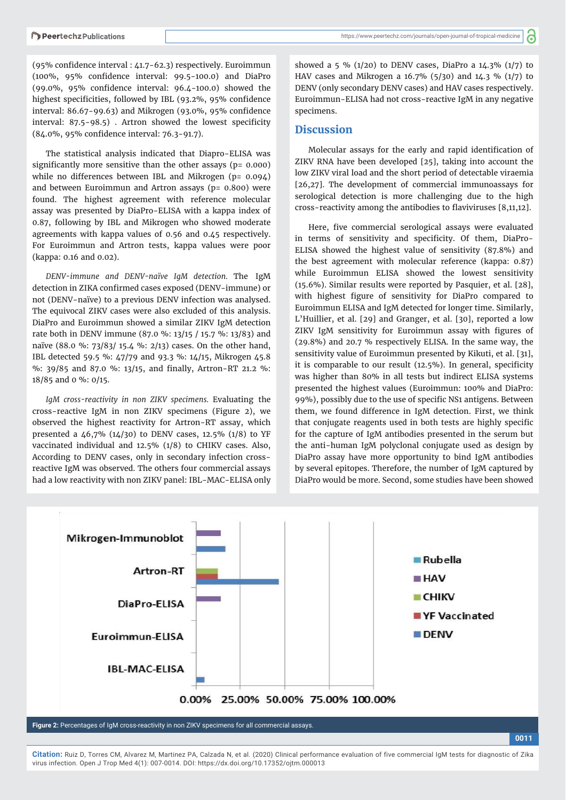(95% confidence interval : 41.7-62.3) respectively. Euroimmun (100%, 95% confidence interval: 99.5-100.0) and DiaPro (99.0%, 95% confidence interval:  $96.4$ -100.0) showed the highest specificities, followed by IBL (93.2%, 95% confidence interval:  $86.67 - 99.63$ ) and Mikrogen (93.0%, 95% confidence interval:  $87.5 - 98.5$ ). Artron showed the lowest specificity (84.0%, 95% confidence interval: 76.3-91.7).

The statistical analysis indicated that Diapro-ELISA was significantly more sensitive than the other assays ( $p = 0.000$ ) while no differences between IBL and Mikrogen (p= 0.094) and between Euroimmun and Artron assays (p= 0.800) were found. The highest agreement with reference molecular assay was presented by DiaPro-ELISA with a kappa index of 0.87, following by IBL and Mikrogen who showed moderate agreements with kappa values of 0.56 and 0.45 respectively. For Euroimmun and Artron tests, kappa values were poor (kappa: 0.16 and 0.02).

*DENV-immune and DENV-naïve IgM detection.* The IgM detection in ZIKA confirmed cases exposed (DENV-immune) or not (DENV-naïve) to a previous DENV infection was analysed. The equivocal ZIKV cases were also excluded of this analysis. DiaPro and Euroimmun showed a similar ZIKV IgM detection rate both in DENV immune (87.0 %: 13/15 / 15.7 %: 13/83) and naïve (88.0 %: 73/83/ 15.4 %: 2/13) cases. On the other hand, IBL detected 59.5 %: 47/79 and 93.3 %: 14/15, Mikrogen 45.8 %: 39/85 and 87.0 %: 13/15, and finally, Artron-RT 21.2 %: 18/85 and 0 %: 0/15.

*IgM cross-reactivity in non ZIKV specimens.* Evaluating the cross-reactive IgM in non ZIKV specimens (Figure 2), we observed the highest reactivity for Artron-RT assay, which presented a 46,7% (14/30) to DENV cases, 12.5% (1/8) to YF vaccinated individual and 12.5% (1/8) to CHIKV cases. Also, According to DENV cases, only in secondary infection crossreactive IgM was observed. The others four commercial assays had a low reactivity with non ZIKV panel: IBL-MAC-ELISA only

showed a 5 % (1/20) to DENV cases, DiaPro a  $14.3\%$  (1/7) to HAV cases and Mikrogen a 16.7% (5/30) and 14.3 % (1/7) to DENV (only secondary DENV cases) and HAV cases respectively. Euroimmun-ELISA had not cross-reactive IgM in any negative specimens.

#### **Discussion**

Molecular assays for the early and rapid identification of ZIKV RNA have been developed [25], taking into account the low ZIKV viral load and the short period of detectable viraemia [26,27]. The development of commercial immunoassays for serological detection is more challenging due to the high cross-reactivity among the antibodies to flaviviruses  $[8,11,12]$ .

Here, five commercial serological assays were evaluated in terms of sensitivity and specificity. Of them, DiaPro-ELISA showed the highest value of sensitivity (87.8%) and the best agreement with molecular reference (kappa: 0.87) while Euroimmun ELISA showed the lowest sensitivity (15.6%). Similar results were reported by Pasquier, et al. [28], with highest figure of sensitivity for DiaPro compared to Euroimmun ELISA and IgM detected for longer time. Similarly, L'Huillier, et al. [29] and Granger, et al. [30], reported a low ZIKV IgM sensitivity for Euroimmun assay with figures of (29.8%) and 20.7 % respectively ELISA. In the same way, the sensitivity value of Euroimmun presented by Kikuti, et al. [31], it is comparable to our result  $(12.5\%)$ . In general, specificity was higher than 80% in all tests but indirect ELISA systems presented the highest values (Euroimmun: 100% and DiaPro: 99%), possibly due to the use of specific NS1 antigens. Between them, we found difference in IgM detection. First, we think that conjugate reagents used in both tests are highly specific for the capture of IgM antibodies presented in the serum but the anti-human IgM polyclonal conjugate used as design by DiaPro assay have more opportunity to bind IgM antibodies by several epitopes. Therefore, the number of IgM captured by DiaPro would be more. Second, some studies have been showed

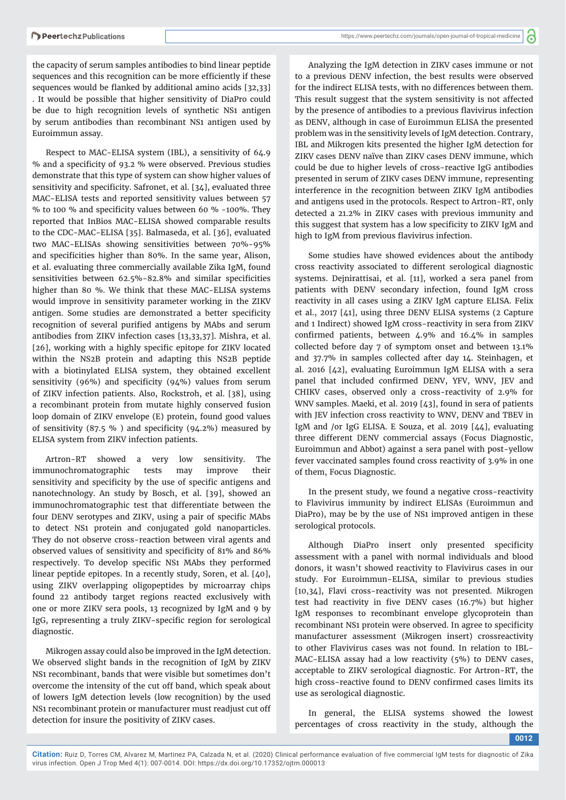the capacity of serum samples antibodies to bind linear peptide sequences and this recognition can be more efficiently if these sequences would be flanked by additional amino acids [32,33] . It would be possible that higher sensitivity of DiaPro could be due to high recognition levels of synthetic NS1 antigen by serum antibodies than recombinant NS1 antigen used by Euroimmun assay.

Respect to MAC-ELISA system (IBL), a sensitivity of 64.9 % and a specificity of 93.2 % were observed. Previous studies demonstrate that this type of system can show higher values of sensitivity and specificity. Safronet, et al. [34], evaluated three MAC-ELISA tests and reported sensitivity values between 57 % to 100 % and specificity values between 60 % -100%. They reported that InBios MAC-ELISA showed comparable results to the CDC-MAC-ELISA [35]. Balmaseda, et al. [36], evaluated two MAC-ELISAs showing sensitivities between 70%-95% and specificities higher than 80%. In the same year, Alison, et al. evaluating three commercially available Zika IgM, found sensitivities between 62.5%-82.8% and similar specificities higher than 80 %. We think that these MAC-ELISA systems would improve in sensitivity parameter working in the ZIKV antigen. Some studies are demonstrated a better specificity recognition of several purified antigens by MAbs and serum antibodies from ZIKV infection cases [13,33,37]. Mishra, et al. [26], working with a highly specific epitope for ZIKV located within the NS2B protein and adapting this NS2B peptide with a biotinylated ELISA system, they obtained excellent sensitivity (96%) and specificity (94%) values from serum of ZIKV infection patients. Also, Rockstroh, et al. [38], using a recombinant protein from mutate highly conserved fusion loop domain of ZIKV envelope (E) protein, found good values of sensitivity (87.5 %) and specificity (94.2%) measured by ELISA system from ZIKV infection patients.

Artron-RT showed a very low sensitivity. The immunochromatographic tests may improve their sensitivity and specificity by the use of specific antigens and nanotechnology. An study by Bosch, et al. [39], showed an immunochromatographic test that differentiate between the four DENV serotypes and ZIKV, using a pair of specific MAbs to detect NS1 protein and conjugated gold nanoparticles. They do not observe cross-reaction between viral agents and observed values of sensitivity and specificity of 81% and 86% respectively. To develop specific NS1 MAbs they performed linear peptide epitopes. In a recently study, Soren, et al. [40], using ZIKV overlapping oligopeptides by microarray chips found 22 antibody target regions reacted exclusively with one or more ZIKV sera pools, 13 recognized by IgM and 9 by IgG, representing a truly ZIKV-specific region for serological diagnostic.

Mikrogen assay could also be improved in the IgM detection. We observed slight bands in the recognition of IgM by ZIKV NS1 recombinant, bands that were visible but sometimes don't overcome the intensity of the cut off band, which speak about of lowers IgM detection levels (low recognition) by the used NS1 recombinant protein or manufacturer must readjust cut off detection for insure the positivity of ZIKV cases.

Analyzing the IgM detection in ZIKV cases immune or not to a previous DENV infection, the best results were observed for the indirect ELISA tests, with no differences between them. This result suggest that the system sensitivity is not affected by the presence of antibodies to a previous flavivirus infection as DENV, although in case of Euroimmun ELISA the presented problem was in the sensitivity levels of IgM detection. Contrary, IBL and Mikrogen kits presented the higher IgM detection for ZIKV cases DENV naïve than ZIKV cases DENV immune, which could be due to higher levels of cross-reactive IgG antibodies presented in serum of ZIKV cases DENV immune, representing interference in the recognition between ZIKV IgM antibodies and antigens used in the protocols. Respect to Artron-RT, only detected a 21.2% in ZIKV cases with previous immunity and this suggest that system has a low specificity to ZIKV IgM and high to IgM from previous flavivirus infection.

Some studies have showed evidences about the antibody cross reactivity associated to different serological diagnostic systems. Dejnirattisai, et al. [11], worked a sera panel from patients with DENV secondary infection, found IgM cross reactivity in all cases using a ZIKV IgM capture ELISA. Felix et al., 2017 [41], using three DENV ELISA systems (2 Capture and 1 Indirect) showed IgM cross-reactivity in sera from ZIKV confirmed patients, between  $4.9\%$  and  $16.4\%$  in samples collected before day 7 of symptom onset and between 13.1% and 37.7% in samples collected after day 14. Steinhagen, et al. 2016 [42], evaluating Euroimmun IgM ELISA with a sera panel that included confirmed DENV, YFV, WNV, JEV and CHIKV cases, observed only a cross-reactivity of 2.9% for WNV samples. Maeki, et al. 2019 [43], found in sera of patients with JEV infection cross reactivity to WNV, DENV and TBEV in IgM and /or IgG ELISA. E Souza, et al. 2019 [44], evaluating three different DENV commercial assays (Focus Diagnostic, Euroimmun and Abbot) against a sera panel with post-yellow fever vaccinated samples found cross reactivity of 3.9% in one of them, Focus Diagnostic.

In the present study, we found a negative cross-reactivity to Flavivirus immunity by indirect ELISAs (Euroimmun and DiaPro), may be by the use of NS1 improved antigen in these serological protocols.

Although DiaPro insert only presented specificity assessment with a panel with normal individuals and blood donors, it wasn't showed reactivity to Flavivirus cases in our study. For Euroimmun-ELISA, similar to previous studies [10,34], Flavi cross-reactivity was not presented. Mikrogen test had reactivity in five DENV cases  $(16.7%)$  but higher IgM responses to recombinant envelope glycoprotein than recombinant NS1 protein were observed. In agree to specificity manufacturer assessment (Mikrogen insert) crossreactivity to other Flavivirus cases was not found. In relation to IBL-MAC-ELISA assay had a low reactivity (5%) to DENV cases, acceptable to ZIKV serological diagnostic. For Artron-RT, the high cross-reactive found to DENV confirmed cases limits its use as serological diagnostic.

In general, the ELISA systems showed the lowest percentages of cross reactivity in the study, although the

**0012**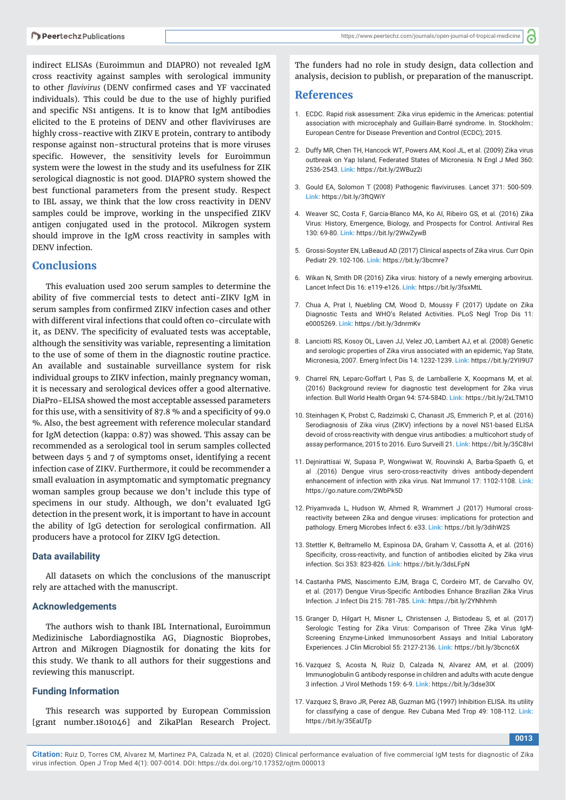indirect ELISAs (Euroimmun and DIAPRO) not revealed IgM cross reactivity against samples with serological immunity to other *flavivirus* (DENV confirmed cases and YF vaccinated individuals). This could be due to the use of highly purified and specific NS1 antigens. It is to know that IgM antibodies elicited to the E proteins of DENV and other flaviviruses are highly cross-reactive with ZIKV E protein, contrary to antibody response against non-structural proteins that is more viruses specific. However, the sensitivity levels for Euroimmun system were the lowest in the study and its usefulness for ZIK serological diagnostic is not good. DIAPRO system showed the best functional parameters from the present study. Respect to IBL assay, we think that the low cross reactivity in DENV samples could be improve, working in the unspecified ZIKV antigen conjugated used in the protocol. Mikrogen system should improve in the IgM cross reactivity in samples with DENV infection.

## **Conclusions**

This evaluation used 200 serum samples to determine the ability of five commercial tests to detect anti-ZIKV IgM in serum samples from confirmed ZIKV infection cases and other with different viral infections that could often co-circulate with it, as DENV. The specificity of evaluated tests was acceptable, although the sensitivity was variable, representing a limitation to the use of some of them in the diagnostic routine practice. An available and sustainable surveillance system for risk individual groups to ZIKV infection, mainly pregnancy woman, it is necessary and serological devices offer a good alternative. DiaPro-ELISA showed the most acceptable assessed parameters for this use, with a sensitivity of 87.8  $%$  and a specificity of 99.0 %. Also, the best agreement with reference molecular standard for IgM detection (kappa: 0.87) was showed. This assay can be recommended as a serological tool in serum samples collected between days 5 and 7 of symptoms onset, identifying a recent infection case of ZIKV. Furthermore, it could be recommender a small evaluation in asymptomatic and symptomatic pregnancy woman samples group because we don't include this type of specimens in our study. Although, we don't evaluated IgG detection in the present work, it is important to have in account the ability of IgG detection for serological confirmation. All producers have a protocol for ZIKV IgG detection.

#### **Data availability**

All datasets on which the conclusions of the manuscript rely are attached with the manuscript.

#### **Acknowledgements**

The authors wish to thank IBL International, Euroimmun Medizinische Labordiagnostika AG, Diagnostic Bioprobes, Artron and Mikrogen Diagnostik for donating the kits for this study. We thank to all authors for their suggestions and reviewing this manuscript.

# **Funding Information**

This research was supported by European Commission [grant number.1801046] and ZikaPlan Research Project.

The funders had no role in study design, data collection and analysis, decision to publish, or preparation of the manuscript.

#### **References**

- 1. ECDC. Rapid risk assessment: Zika virus epidemic in the Americas: potential association with microcephaly and Guillain-Barré syndrome. In. Stockholm:: European Centre for Disease Prevention and Control (ECDC); 2015.
- 2. Duffy MR, Chen TH, Hancock WT, Powers AM, Kool JL, et al. (2009) Zika virus outbreak on Yap Island, Federated States of Micronesia. N Engl J Med 360: 2536-2543. **Link:** https://bit.ly/2WBuz2i
- 3. Gould EA, Solomon T (2008) Pathogenic flaviviruses. Lancet 371: 500-509. **Link:** https://bit.ly/3ftQWiY
- 4. Weaver SC, Costa F, Garcia-Blanco MA, Ko AI, Ribeiro GS, et al. (2016) Zika Virus: History, Emergence, Biology, and Prospects for Control. Antiviral Res 130: 69-80. **Link:** https://bit.ly/2WwZywB
- 5. Grossi-Soyster EN, LaBeaud AD (2017) Clinical aspects of Zika virus. Curr Opin Pediatr 29: 102-106. **Link:** https://bit.ly/3bcmre7
- 6. Wikan N, Smith DR (2016) Zika virus: history of a newly emerging arbovirus. Lancet Infect Dis 16: e119-e126. **Link:** https://bit.ly/3fsxMtL
- 7. Chua A, Prat I, Nuebling CM, Wood D, Moussy F (2017) Update on Zika Diagnostic Tests and WHO's Related Activities. PLoS Negl Trop Dis 11: e0005269. **Link:** https://bit.ly/3dnrmKv
- 8. Lanciotti RS, Kosoy OL, Laven JJ, Velez JO, Lambert AJ, et al. (2008) Genetic and serologic properties of Zika virus associated with an epidemic, Yap State, Micronesia, 2007. Emerg Infect Dis 14: 1232-1239. **Link:** https://bit.ly/2YII9U7
- 9. Charrel RN, Leparc-Goffart I, Pas S, de Lamballerie X, Koopmans M, et al. (2016) Background review for diagnostic test development for Zika virus infection. Bull World Health Organ 94: 574-584D. **Link:** https://bit.ly/2xLTM1O
- 10. Steinhagen K, Probst C, Radzimski C, Chanasit JS, Emmerich P, et al. (2016) Serodiagnosis of Zika virus (ZIKV) infections by a novel NS1-based ELISA devoid of cross-reactivity with dengue virus antibodies: a multicohort study of assay performance, 2015 to 2016. Euro Surveill 21. **Link:** https://bit.ly/35C8IvI
- 11. Dejnirattisai W, Supasa P, Wongwiwat W, Rouvinski A, Barba-Spaeth G, et al .(2016) Dengue virus sero-cross-reactivity drives antibody-dependent enhancement of infection with zika virus. Nat Immunol 17: 1102-1108. **Link:** https://go.nature.com/2WbPk5D
- 12. Priyamvada L, Hudson W, Ahmed R, Wrammert J (2017) Humoral crossreactivity between Zika and dengue viruses: implications for protection and pathology. Emerg Microbes Infect 6: e33. **Link:** https://bit.ly/3dihW2S
- 13. Stettler K, Beltramello M, Espinosa DA, Graham V, Cassotta A, et al. (2016) Specificity, cross-reactivity, and function of antibodies elicited by Zika virus infection. Sci 353: 823-826. **Link:** https://bit.ly/3dsLFpN
- 14. Castanha PMS, Nascimento EJM, Braga C, Cordeiro MT, de Carvalho OV, et al. (2017) Dengue Virus-Specific Antibodies Enhance Brazilian Zika Virus Infection. J Infect Dis 215: 781-785. **Link:** https://bit.ly/2YNhhmh
- 15. Granger D, Hilgart H, Misner L, Christensen J, Bistodeau S, et al. (2017) Serologic Testing for Zika Virus: Comparison of Three Zika Virus IgM-Screening Enzyme-Linked Immunosorbent Assays and Initial Laboratory Experiences. J Clin Microbiol 55: 2127-2136. **Link:** https://bit.ly/3bcnc6X
- 16. Vazquez S, Acosta N, Ruiz D, Calzada N, Alvarez AM, et al. (2009) Immunoglobulin G antibody response in children and adults with acute dengue 3 infection. J Virol Methods 159: 6-9. **Link:** https://bit.ly/3dse3IX
- 17. Vazquez S, Bravo JR, Perez AB, Guzman MG (1997) Inhibition ELISA. Its utility for classifying a case of dengue. Rev Cubana Med Trop 49: 108-112. **Link:** https://bit.ly/35EaUTp

**0013**